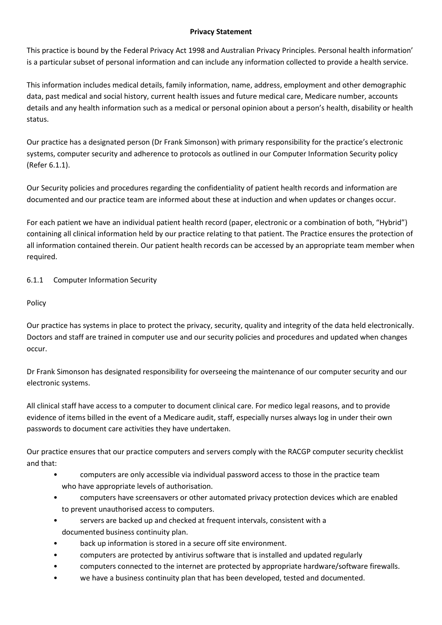## **Privacy Statement**

This practice is bound by the Federal Privacy Act 1998 and Australian Privacy Principles. Personal health information' is a particular subset of personal information and can include any information collected to provide a health service.

This information includes medical details, family information, name, address, employment and other demographic data, past medical and social history, current health issues and future medical care, Medicare number, accounts details and any health information such as a medical or personal opinion about a person's health, disability or health status.

Our practice has a designated person (Dr Frank Simonson) with primary responsibility for the practice's electronic systems, computer security and adherence to protocols as outlined in our Computer Information Security policy (Refer 6.1.1).

Our Security policies and procedures regarding the confidentiality of patient health records and information are documented and our practice team are informed about these at induction and when updates or changes occur.

For each patient we have an individual patient health record (paper, electronic or a combination of both, "Hybrid") containing all clinical information held by our practice relating to that patient. The Practice ensures the protection of all information contained therein. Our patient health records can be accessed by an appropriate team member when required.

## 6.1.1 Computer Information Security

Policy

Our practice has systems in place to protect the privacy, security, quality and integrity of the data held electronically. Doctors and staff are trained in computer use and our security policies and procedures and updated when changes occur.

Dr Frank Simonson has designated responsibility for overseeing the maintenance of our computer security and our electronic systems.

All clinical staff have access to a computer to document clinical care. For medico legal reasons, and to provide evidence of items billed in the event of a Medicare audit, staff, especially nurses always log in under their own passwords to document care activities they have undertaken.

Our practice ensures that our practice computers and servers comply with the RACGP computer security checklist and that:

- computers are only accessible via individual password access to those in the practice team who have appropriate levels of authorisation.
- computers have screensavers or other automated privacy protection devices which are enabled to prevent unauthorised access to computers.
- servers are backed up and checked at frequent intervals, consistent with a documented business continuity plan.
- back up information is stored in a secure off site environment.
- computers are protected by antivirus software that is installed and updated regularly
- computers connected to the internet are protected by appropriate hardware/software firewalls.
- we have a business continuity plan that has been developed, tested and documented.